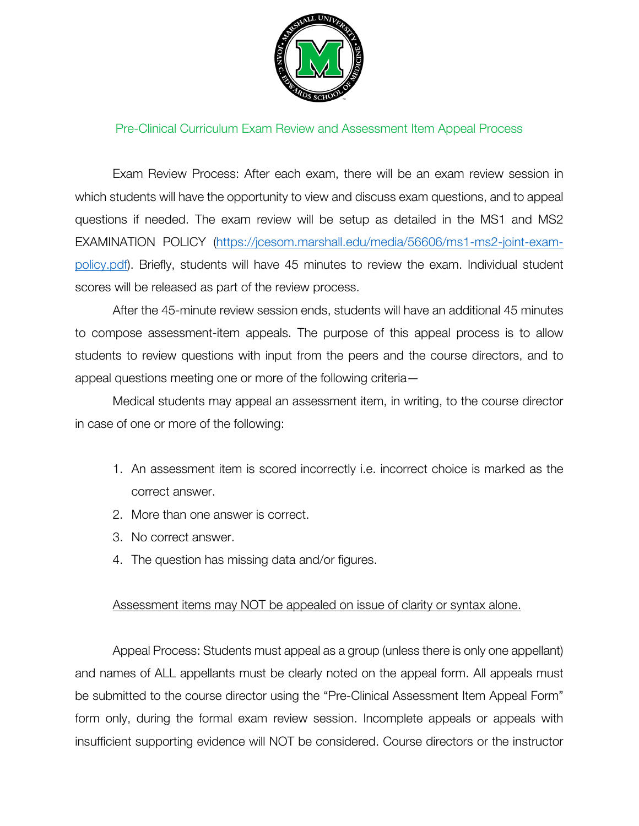

## Pre-Clinical Curriculum Exam Review and Assessment Item Appeal Process

Exam Review Process: After each exam, there will be an exam review session in which students will have the opportunity to view and discuss exam questions, and to appeal questions if needed. The exam review will be setup as detailed in the MS1 and MS2 EXAMINATION POLICY [\(https://jcesom.marshall.edu/media/56606/ms1-ms2-joint-exam](https://jcesom.marshall.edu/media/56606/ms1-ms2-joint-exam-policy.pdf)[policy.pdf\)](https://jcesom.marshall.edu/media/56606/ms1-ms2-joint-exam-policy.pdf). Briefly, students will have 45 minutes to review the exam. Individual student scores will be released as part of the review process.

After the 45-minute review session ends, students will have an additional 45 minutes to compose assessment-item appeals. The purpose of this appeal process is to allow students to review questions with input from the peers and the course directors, and to appeal questions meeting one or more of the following criteria—

Medical students may appeal an assessment item, in writing, to the course director in case of one or more of the following:

- 1. An assessment item is scored incorrectly i.e. incorrect choice is marked as the correct answer.
- 2. More than one answer is correct.
- 3. No correct answer.
- 4. The question has missing data and/or figures.

## Assessment items may NOT be appealed on issue of clarity or syntax alone.

Appeal Process: Students must appeal as a group (unless there is only one appellant) and names of ALL appellants must be clearly noted on the appeal form. All appeals must be submitted to the course director using the "Pre-Clinical Assessment Item Appeal Form" form only, during the formal exam review session. Incomplete appeals or appeals with insufficient supporting evidence will NOT be considered. Course directors or the instructor